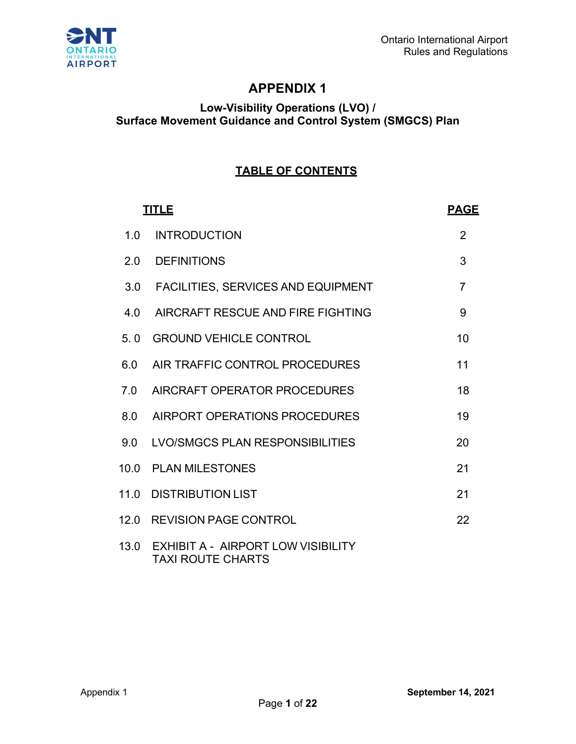

# **APPENDIX 1**

## **Low-Visibility Operations (LVO) / Surface Movement Guidance and Control System (SMGCS) Plan**

# **TABLE OF CONTENTS**

| <b>TITLE</b> | <b>PAGE</b>                                                    |                |
|--------------|----------------------------------------------------------------|----------------|
| 1.0          | <b>INTRODUCTION</b>                                            | $\overline{2}$ |
| 2.0          | <b>DEFINITIONS</b>                                             | 3              |
|              | 3.0 FACILITIES, SERVICES AND EQUIPMENT                         | $\overline{7}$ |
| 4.0          | AIRCRAFT RESCUE AND FIRE FIGHTING                              | 9              |
| 5.0          | <b>GROUND VEHICLE CONTROL</b>                                  | 10             |
| 6.0          | AIR TRAFFIC CONTROL PROCEDURES                                 | 11             |
|              | 7.0 AIRCRAFT OPERATOR PROCEDURES                               | 18             |
| 8.0          | AIRPORT OPERATIONS PROCEDURES                                  | 19             |
|              | 9.0 LVO/SMGCS PLAN RESPONSIBILITIES                            | 20             |
|              | 10.0 PLAN MILESTONES                                           | 21             |
|              | 11.0 DISTRIBUTION LIST                                         | 21             |
|              | 12.0 REVISION PAGE CONTROL                                     | 22             |
| 13.0         | EXHIBIT A - AIRPORT LOW VISIBILITY<br><b>TAXI ROUTE CHARTS</b> |                |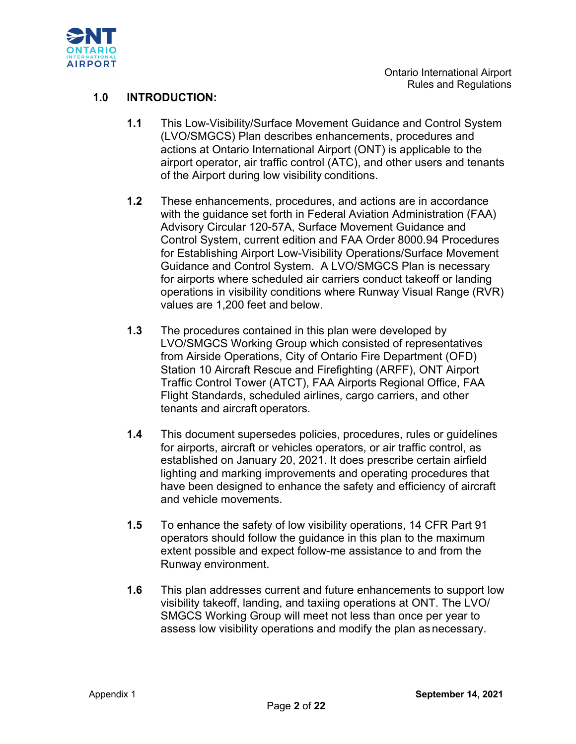

### **1.0 INTRODUCTION:**

- **1.1** This Low-Visibility/Surface Movement Guidance and Control System (LVO/SMGCS) Plan describes enhancements, procedures and actions at Ontario International Airport (ONT) is applicable to the airport operator, air traffic control (ATC), and other users and tenants of the Airport during low visibility conditions.
- **1.2** These enhancements, procedures, and actions are in accordance with the guidance set forth in Federal Aviation Administration (FAA) Advisory Circular 120-57A, Surface Movement Guidance and Control System, current edition and FAA Order 8000.94 Procedures for Establishing Airport Low-Visibility Operations/Surface Movement Guidance and Control System. A LVO/SMGCS Plan is necessary for airports where scheduled air carriers conduct takeoff or landing operations in visibility conditions where Runway Visual Range (RVR) values are 1,200 feet and below.
- **1.3** The procedures contained in this plan were developed by LVO/SMGCS Working Group which consisted of representatives from Airside Operations, City of Ontario Fire Department (OFD) Station 10 Aircraft Rescue and Firefighting (ARFF), ONT Airport Traffic Control Tower (ATCT), FAA Airports Regional Office, FAA Flight Standards, scheduled airlines, cargo carriers, and other tenants and aircraft operators.
- **1.4** This document supersedes policies, procedures, rules or guidelines for airports, aircraft or vehicles operators, or air traffic control, as established on January 20, 2021. It does prescribe certain airfield lighting and marking improvements and operating procedures that have been designed to enhance the safety and efficiency of aircraft and vehicle movements.
- **1.5** To enhance the safety of low visibility operations, 14 CFR Part 91 operators should follow the guidance in this plan to the maximum extent possible and expect follow-me assistance to and from the Runway environment.
- **1.6** This plan addresses current and future enhancements to support low visibility takeoff, landing, and taxiing operations at ONT. The LVO/ SMGCS Working Group will meet not less than once per year to assess low visibility operations and modify the plan asnecessary.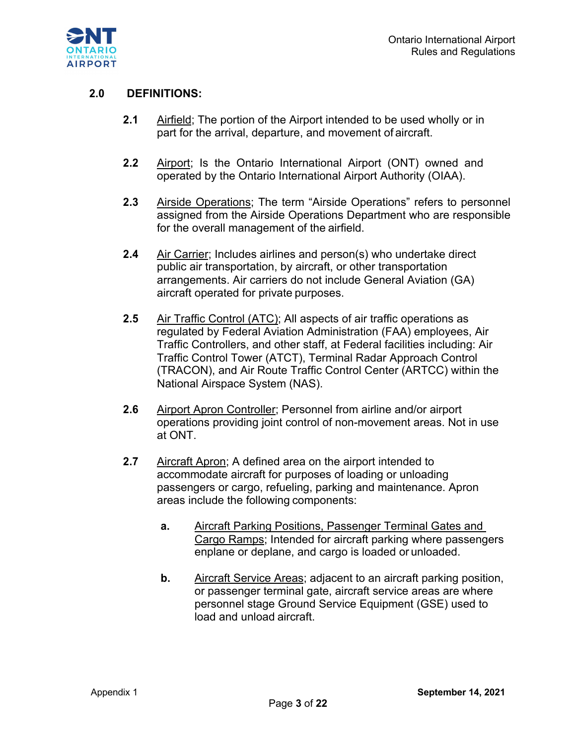

#### **2.0 DEFINITIONS:**

- **2.1** Airfield; The portion of the Airport intended to be used wholly or in part for the arrival, departure, and movement of aircraft.
- **2.2** Airport; Is the Ontario International Airport (ONT) owned and operated by the Ontario International Airport Authority (OIAA).
- **2.3** Airside Operations; The term "Airside Operations" refers to personnel assigned from the Airside Operations Department who are responsible for the overall management of the airfield.
- **2.4** Air Carrier; Includes airlines and person(s) who undertake direct public air transportation, by aircraft, or other transportation arrangements. Air carriers do not include General Aviation (GA) aircraft operated for private purposes.
- **2.5** Air Traffic Control (ATC); All aspects of air traffic operations as regulated by Federal Aviation Administration (FAA) employees, Air Traffic Controllers, and other staff, at Federal facilities including: Air Traffic Control Tower (ATCT), Terminal Radar Approach Control (TRACON), and Air Route Traffic Control Center (ARTCC) within the National Airspace System (NAS).
- **2.6** Airport Apron Controller; Personnel from airline and/or airport operations providing joint control of non-movement areas. Not in use at ONT.
- **2.7** Aircraft Apron; A defined area on the airport intended to accommodate aircraft for purposes of loading or unloading passengers or cargo, refueling, parking and maintenance. Apron areas include the following components:
	- **a.** Aircraft Parking Positions, Passenger Terminal Gates and Cargo Ramps; Intended for aircraft parking where passengers enplane or deplane, and cargo is loaded or unloaded.
	- **b.** Aircraft Service Areas; adjacent to an aircraft parking position, or passenger terminal gate, aircraft service areas are where personnel stage Ground Service Equipment (GSE) used to load and unload aircraft.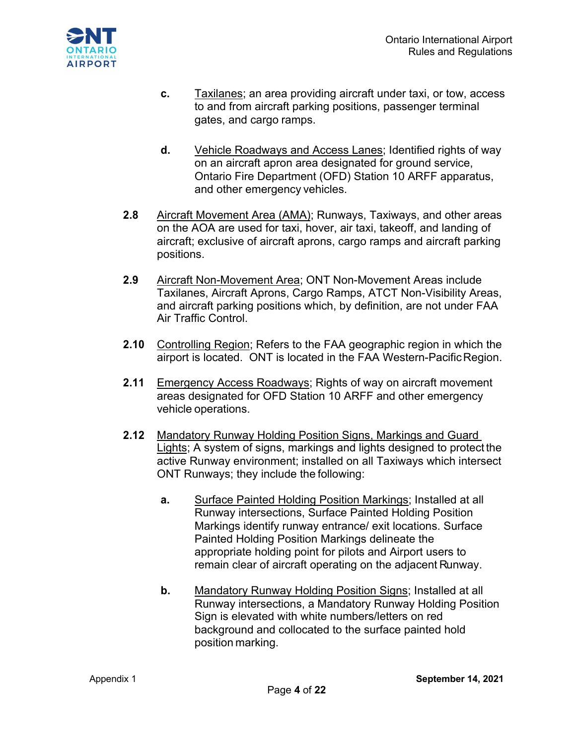

- **c.** Taxilanes; an area providing aircraft under taxi, or tow, access to and from aircraft parking positions, passenger terminal gates, and cargo ramps.
- **d.** Vehicle Roadways and Access Lanes; Identified rights of way on an aircraft apron area designated for ground service, Ontario Fire Department (OFD) Station 10 ARFF apparatus, and other emergency vehicles.
- **2.8** Aircraft Movement Area (AMA); Runways, Taxiways, and other areas on the AOA are used for taxi, hover, air taxi, takeoff, and landing of aircraft; exclusive of aircraft aprons, cargo ramps and aircraft parking positions.
- **2.9** Aircraft Non-Movement Area; ONT Non-Movement Areas include Taxilanes, Aircraft Aprons, Cargo Ramps, ATCT Non-Visibility Areas, and aircraft parking positions which, by definition, are not under FAA Air Traffic Control.
- **2.10** Controlling Region; Refers to the FAA geographic region in which the airport is located. ONT is located in the FAA Western-PacificRegion.
- **2.11** Emergency Access Roadways; Rights of way on aircraft movement areas designated for OFD Station 10 ARFF and other emergency vehicle operations.
- **2.12** Mandatory Runway Holding Position Signs, Markings and Guard Lights; A system of signs, markings and lights designed to protect the active Runway environment; installed on all Taxiways which intersect ONT Runways; they include the following:
	- **a.** Surface Painted Holding Position Markings; Installed at all Runway intersections, Surface Painted Holding Position Markings identify runway entrance/ exit locations. Surface Painted Holding Position Markings delineate the appropriate holding point for pilots and Airport users to remain clear of aircraft operating on the adjacent Runway.
	- **b.** Mandatory Runway Holding Position Signs; Installed at all Runway intersections, a Mandatory Runway Holding Position Sign is elevated with white numbers/letters on red background and collocated to the surface painted hold position marking.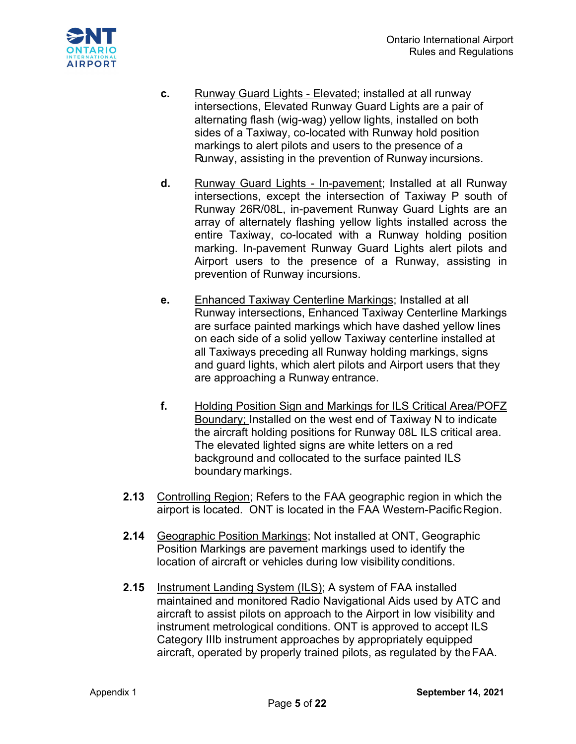

- **c.** Runway Guard Lights Elevated; installed at all runway intersections, Elevated Runway Guard Lights are a pair of alternating flash (wig-wag) yellow lights, installed on both sides of a Taxiway, co-located with Runway hold position markings to alert pilots and users to the presence of a Runway, assisting in the prevention of Runway incursions.
- **d.** Runway Guard Lights In-pavement; Installed at all Runway intersections, except the intersection of Taxiway P south of Runway 26R/08L, in-pavement Runway Guard Lights are an array of alternately flashing yellow lights installed across the entire Taxiway, co-located with a Runway holding position marking. In-pavement Runway Guard Lights alert pilots and Airport users to the presence of a Runway, assisting in prevention of Runway incursions.
- **e.** Enhanced Taxiway Centerline Markings; Installed at all Runway intersections, Enhanced Taxiway Centerline Markings are surface painted markings which have dashed yellow lines on each side of a solid yellow Taxiway centerline installed at all Taxiways preceding all Runway holding markings, signs and guard lights, which alert pilots and Airport users that they are approaching a Runway entrance.
- **f.** Holding Position Sign and Markings for ILS Critical Area/POFZ Boundary; Installed on the west end of Taxiway N to indicate the aircraft holding positions for Runway 08L ILS critical area. The elevated lighted signs are white letters on a red background and collocated to the surface painted ILS boundary markings.
- **2.13** Controlling Region; Refers to the FAA geographic region in which the airport is located. ONT is located in the FAA Western-Pacific Region.
- **2.14** Geographic Position Markings; Not installed at ONT, Geographic Position Markings are pavement markings used to identify the location of aircraft or vehicles during low visibility conditions.
- **2.15** Instrument Landing System (ILS); A system of FAA installed maintained and monitored Radio Navigational Aids used by ATC and aircraft to assist pilots on approach to the Airport in low visibility and instrument metrological conditions. ONT is approved to accept ILS Category IIIb instrument approaches by appropriately equipped aircraft, operated by properly trained pilots, as regulated by theFAA.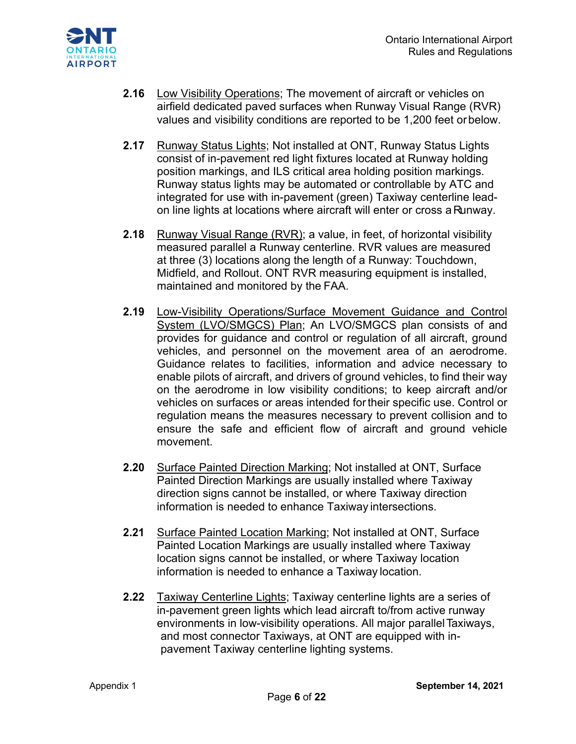

- **2.16** Low Visibility Operations; The movement of aircraft or vehicles on airfield dedicated paved surfaces when Runway Visual Range (RVR) values and visibility conditions are reported to be 1,200 feet orbelow.
- **2.17** Runway Status Lights; Not installed at ONT, Runway Status Lights consist of in-pavement red light fixtures located at Runway holding position markings, and ILS critical area holding position markings. Runway status lights may be automated or controllable by ATC and integrated for use with in-pavement (green) Taxiway centerline leadon line lights at locations where aircraft will enter or cross a Runway.
- **2.18** Runway Visual Range (RVR); a value, in feet, of horizontal visibility measured parallel a Runway centerline. RVR values are measured at three (3) locations along the length of a Runway: Touchdown, Midfield, and Rollout. ONT RVR measuring equipment is installed, maintained and monitored by the FAA.
- **2.19** Low-Visibility Operations/Surface Movement Guidance and Control System (LVO/SMGCS) Plan; An LVO/SMGCS plan consists of and provides for guidance and control or regulation of all aircraft, ground vehicles, and personnel on the movement area of an aerodrome. Guidance relates to facilities, information and advice necessary to enable pilots of aircraft, and drivers of ground vehicles, to find their way on the aerodrome in low visibility conditions; to keep aircraft and/or vehicles on surfaces or areas intended fortheir specific use. Control or regulation means the measures necessary to prevent collision and to ensure the safe and efficient flow of aircraft and ground vehicle movement.
- **2.20** Surface Painted Direction Marking; Not installed at ONT, Surface Painted Direction Markings are usually installed where Taxiway direction signs cannot be installed, or where Taxiway direction information is needed to enhance Taxiway intersections.
- **2.21** Surface Painted Location Marking; Not installed at ONT, Surface Painted Location Markings are usually installed where Taxiway location signs cannot be installed, or where Taxiway location information is needed to enhance a Taxiway location.
- **2.22** Taxiway Centerline Lights; Taxiway centerline lights are a series of in-pavement green lights which lead aircraft to/from active runway environments in low-visibility operations. All major parallelTaxiways, and most connector Taxiways, at ONT are equipped with inpavement Taxiway centerline lighting systems.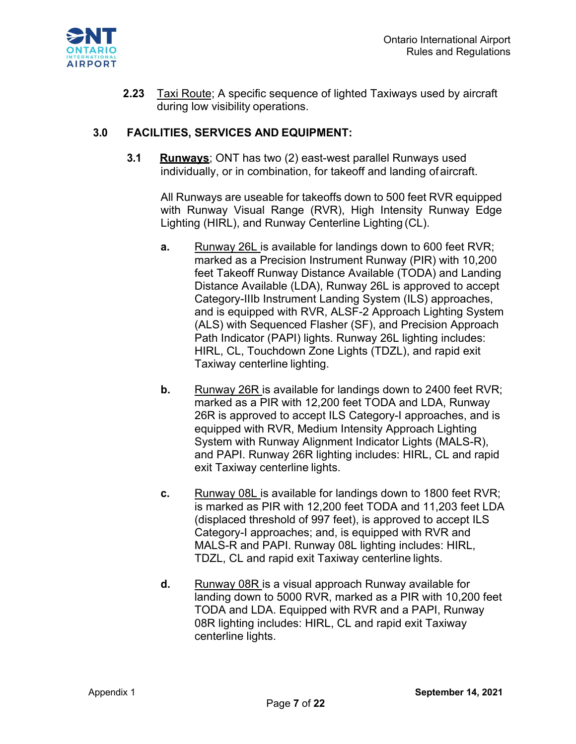

**2.23** Taxi Route; A specific sequence of lighted Taxiways used by aircraft during low visibility operations.

#### **3.0 FACILITIES, SERVICES AND EQUIPMENT:**

**3.1 Runways**; ONT has two (2) east-west parallel Runways used individually, or in combination, for takeoff and landing of aircraft.

All Runways are useable for takeoffs down to 500 feet RVR equipped with Runway Visual Range (RVR), High Intensity Runway Edge Lighting (HIRL), and Runway Centerline Lighting (CL).

- **a.** Runway 26L is available for landings down to 600 feet RVR; marked as a Precision Instrument Runway (PIR) with 10,200 feet Takeoff Runway Distance Available (TODA) and Landing Distance Available (LDA), Runway 26L is approved to accept Category-IIIb Instrument Landing System (ILS) approaches, and is equipped with RVR, ALSF-2 Approach Lighting System (ALS) with Sequenced Flasher (SF), and Precision Approach Path Indicator (PAPI) lights. Runway 26L lighting includes: HIRL, CL, Touchdown Zone Lights (TDZL), and rapid exit Taxiway centerline lighting.
- **b.** Runway 26R is available for landings down to 2400 feet RVR; marked as a PIR with 12,200 feet TODA and LDA, Runway 26R is approved to accept ILS Category-I approaches, and is equipped with RVR, Medium Intensity Approach Lighting System with Runway Alignment Indicator Lights (MALS-R), and PAPI. Runway 26R lighting includes: HIRL, CL and rapid exit Taxiway centerline lights.
- **c.** Runway 08L is available for landings down to 1800 feet RVR; is marked as PIR with 12,200 feet TODA and 11,203 feet LDA (displaced threshold of 997 feet), is approved to accept ILS Category-I approaches; and, is equipped with RVR and MALS-R and PAPI. Runway 08L lighting includes: HIRL, TDZL, CL and rapid exit Taxiway centerline lights.
- **d.** Runway 08R is a visual approach Runway available for landing down to 5000 RVR, marked as a PIR with 10,200 feet TODA and LDA. Equipped with RVR and a PAPI, Runway 08R lighting includes: HIRL, CL and rapid exit Taxiway centerline lights.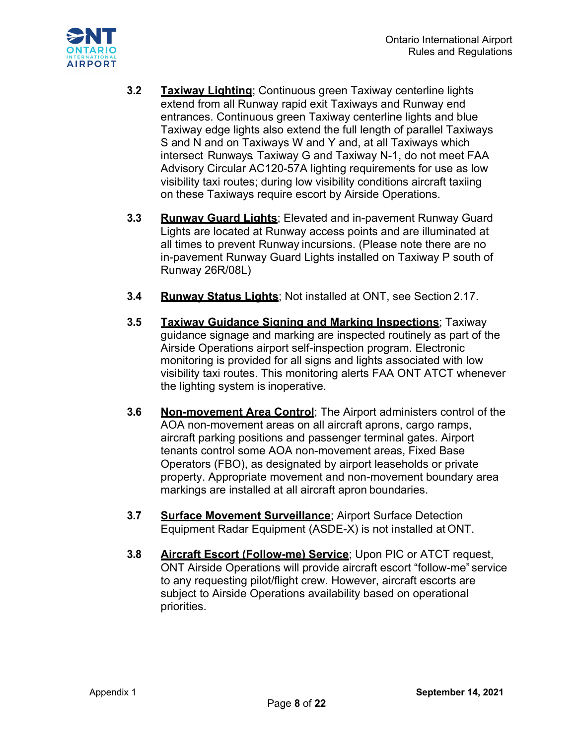

- **3.2 Taxiway Lighting**; Continuous green Taxiway centerline lights extend from all Runway rapid exit Taxiways and Runway end entrances. Continuous green Taxiway centerline lights and blue Taxiway edge lights also extend the full length of parallel Taxiways S and N and on Taxiways W and Y and, at all Taxiways which intersect Runways. Taxiway G and Taxiway N-1, do not meet FAA Advisory Circular AC120-57A lighting requirements for use as low visibility taxi routes; during low visibility conditions aircraft taxiing on these Taxiways require escort by Airside Operations.
- **3.3 Runway Guard Lights**; Elevated and in-pavement Runway Guard Lights are located at Runway access points and are illuminated at all times to prevent Runway incursions. (Please note there are no in-pavement Runway Guard Lights installed on Taxiway P south of Runway 26R/08L)
- **3.4 Runway Status Lights**; Not installed at ONT, see Section 2.17.
- **3.5 Taxiway Guidance Signing and Marking Inspections**; Taxiway guidance signage and marking are inspected routinely as part of the Airside Operations airport self-inspection program. Electronic monitoring is provided for all signs and lights associated with low visibility taxi routes. This monitoring alerts FAA ONT ATCT whenever the lighting system is inoperative.
- **3.6 Non-movement Area Control**; The Airport administers control of the AOA non-movement areas on all aircraft aprons, cargo ramps, aircraft parking positions and passenger terminal gates. Airport tenants control some AOA non-movement areas, Fixed Base Operators (FBO), as designated by airport leaseholds or private property. Appropriate movement and non-movement boundary area markings are installed at all aircraft apron boundaries.
- **3.7 Surface Movement Surveillance**; Airport Surface Detection Equipment Radar Equipment (ASDE-X) is not installed at ONT.
- **3.8 Aircraft Escort (Follow-me) Service**; Upon PIC or ATCT request, ONT Airside Operations will provide aircraft escort "follow-me" service to any requesting pilot/flight crew. However, aircraft escorts are subject to Airside Operations availability based on operational priorities.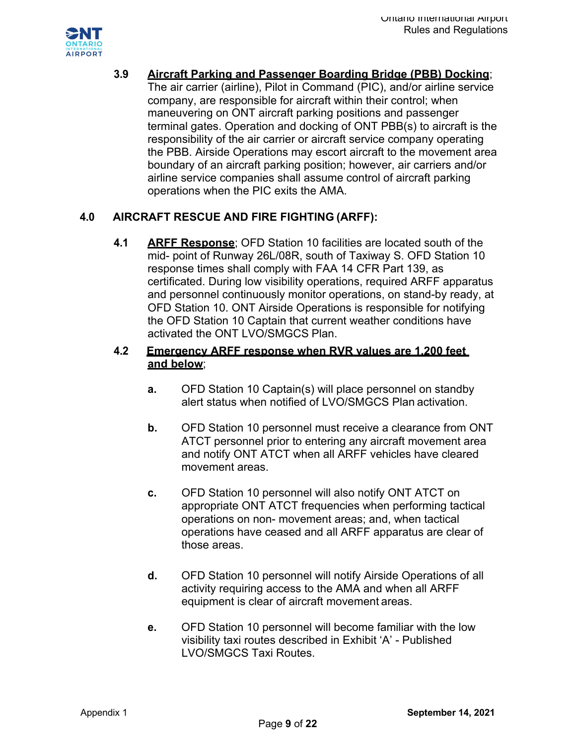

**3.9 Aircraft Parking and Passenger Boarding Bridge (PBB) Docking**;

The air carrier (airline), Pilot in Command (PIC), and/or airline service company, are responsible for aircraft within their control; when maneuvering on ONT aircraft parking positions and passenger terminal gates. Operation and docking of ONT PBB(s) to aircraft is the responsibility of the air carrier or aircraft service company operating the PBB. Airside Operations may escort aircraft to the movement area boundary of an aircraft parking position; however, air carriers and/or airline service companies shall assume control of aircraft parking operations when the PIC exits the AMA.

## **4.0 AIRCRAFT RESCUE AND FIRE FIGHTING (ARFF):**

**4.1 ARFF Response**; OFD Station 10 facilities are located south of the mid- point of Runway 26L/08R, south of Taxiway S. OFD Station 10 response times shall comply with FAA 14 CFR Part 139, as certificated. During low visibility operations, required ARFF apparatus and personnel continuously monitor operations, on stand-by ready, at OFD Station 10. ONT Airside Operations is responsible for notifying the OFD Station 10 Captain that current weather conditions have activated the ONT LVO/SMGCS Plan.

### **4.2 Emergency ARFF response when RVR values are 1,200 feet and below**;

- **a.** OFD Station 10 Captain(s) will place personnel on standby alert status when notified of LVO/SMGCS Plan activation.
- **b.** OFD Station 10 personnel must receive a clearance from ONT ATCT personnel prior to entering any aircraft movement area and notify ONT ATCT when all ARFF vehicles have cleared movement areas.
- **c.** OFD Station 10 personnel will also notify ONT ATCT on appropriate ONT ATCT frequencies when performing tactical operations on non- movement areas; and, when tactical operations have ceased and all ARFF apparatus are clear of those areas.
- **d.** OFD Station 10 personnel will notify Airside Operations of all activity requiring access to the AMA and when all ARFF equipment is clear of aircraft movement areas.
- **e.** OFD Station 10 personnel will become familiar with the low visibility taxi routes described in Exhibit 'A' - Published LVO/SMGCS Taxi Routes.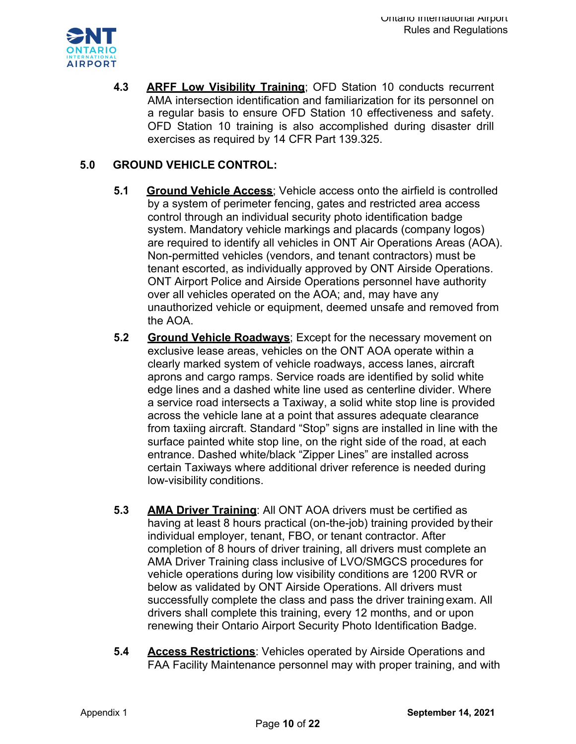

**4.3 ARFF Low Visibility Training**; OFD Station 10 conducts recurrent AMA intersection identification and familiarization for its personnel on a regular basis to ensure OFD Station 10 effectiveness and safety. OFD Station 10 training is also accomplished during disaster drill exercises as required by 14 CFR Part 139.325.

# **5.0 GROUND VEHICLE CONTROL:**

- **5.1 Ground Vehicle Access**; Vehicle access onto the airfield is controlled by a system of perimeter fencing, gates and restricted area access control through an individual security photo identification badge system. Mandatory vehicle markings and placards (company logos) are required to identify all vehicles in ONT Air Operations Areas (AOA). Non-permitted vehicles (vendors, and tenant contractors) must be tenant escorted, as individually approved by ONT Airside Operations. ONT Airport Police and Airside Operations personnel have authority over all vehicles operated on the AOA; and, may have any unauthorized vehicle or equipment, deemed unsafe and removed from the AOA.
- **5.2 Ground Vehicle Roadways**; Except for the necessary movement on exclusive lease areas, vehicles on the ONT AOA operate within a clearly marked system of vehicle roadways, access lanes, aircraft aprons and cargo ramps. Service roads are identified by solid white edge lines and a dashed white line used as centerline divider. Where a service road intersects a Taxiway, a solid white stop line is provided across the vehicle lane at a point that assures adequate clearance from taxiing aircraft. Standard "Stop" signs are installed in line with the surface painted white stop line, on the right side of the road, at each entrance. Dashed white/black "Zipper Lines" are installed across certain Taxiways where additional driver reference is needed during low-visibility conditions.
- **5.3 AMA Driver Training**: All ONT AOA drivers must be certified as having at least 8 hours practical (on-the-job) training provided by their individual employer, tenant, FBO, or tenant contractor. After completion of 8 hours of driver training, all drivers must complete an AMA Driver Training class inclusive of LVO/SMGCS procedures for vehicle operations during low visibility conditions are 1200 RVR or below as validated by ONT Airside Operations. All drivers must successfully complete the class and pass the driver training exam. All drivers shall complete this training, every 12 months, and or upon renewing their Ontario Airport Security Photo Identification Badge.
- **5.4 Access Restrictions**: Vehicles operated by Airside Operations and FAA Facility Maintenance personnel may with proper training, and with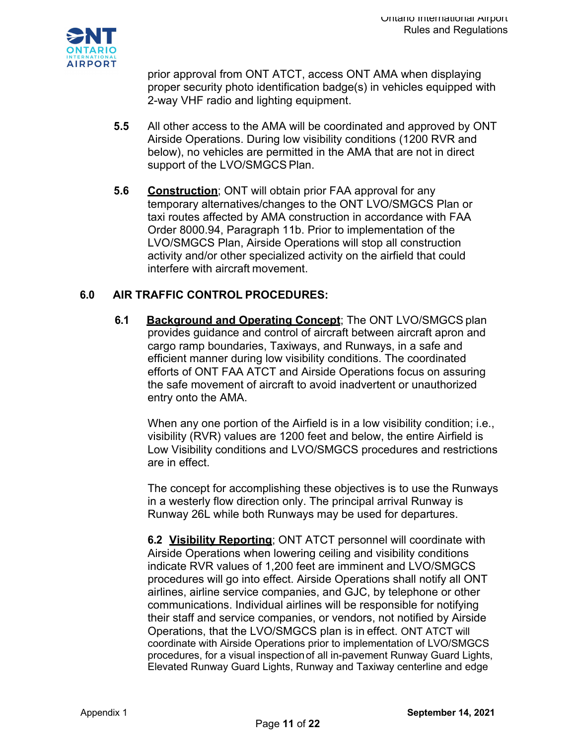

prior approval from ONT ATCT, access ONT AMA when displaying proper security photo identification badge(s) in vehicles equipped with 2-way VHF radio and lighting equipment.

- **5.5** All other access to the AMA will be coordinated and approved by ONT Airside Operations. During low visibility conditions (1200 RVR and below), no vehicles are permitted in the AMA that are not in direct support of the LVO/SMGCS Plan.
- **5.6 Construction**; ONT will obtain prior FAA approval for any temporary alternatives/changes to the ONT LVO/SMGCS Plan or taxi routes affected by AMA construction in accordance with FAA Order 8000.94, Paragraph 11b. Prior to implementation of the LVO/SMGCS Plan, Airside Operations will stop all construction activity and/or other specialized activity on the airfield that could interfere with aircraft movement.

## **6.0 AIR TRAFFIC CONTROL PROCEDURES:**

**6.1 Background and Operating Concept**; The ONT LVO/SMGCS plan provides guidance and control of aircraft between aircraft apron and cargo ramp boundaries, Taxiways, and Runways, in a safe and efficient manner during low visibility conditions. The coordinated efforts of ONT FAA ATCT and Airside Operations focus on assuring the safe movement of aircraft to avoid inadvertent or unauthorized entry onto the AMA.

When any one portion of the Airfield is in a low visibility condition; i.e., visibility (RVR) values are 1200 feet and below, the entire Airfield is Low Visibility conditions and LVO/SMGCS procedures and restrictions are in effect.

The concept for accomplishing these objectives is to use the Runways in a westerly flow direction only. The principal arrival Runway is Runway 26L while both Runways may be used for departures.

**6.2 Visibility Reporting**; ONT ATCT personnel will coordinate with Airside Operations when lowering ceiling and visibility conditions indicate RVR values of 1,200 feet are imminent and LVO/SMGCS procedures will go into effect. Airside Operations shall notify all ONT airlines, airline service companies, and GJC, by telephone or other communications. Individual airlines will be responsible for notifying their staff and service companies, or vendors, not notified by Airside Operations, that the LVO/SMGCS plan is in effect. ONT ATCT will coordinate with Airside Operations prior to implementation of LVO/SMGCS procedures, for a visual inspectionof all in-pavement Runway Guard Lights, Elevated Runway Guard Lights, Runway and Taxiway centerline and edge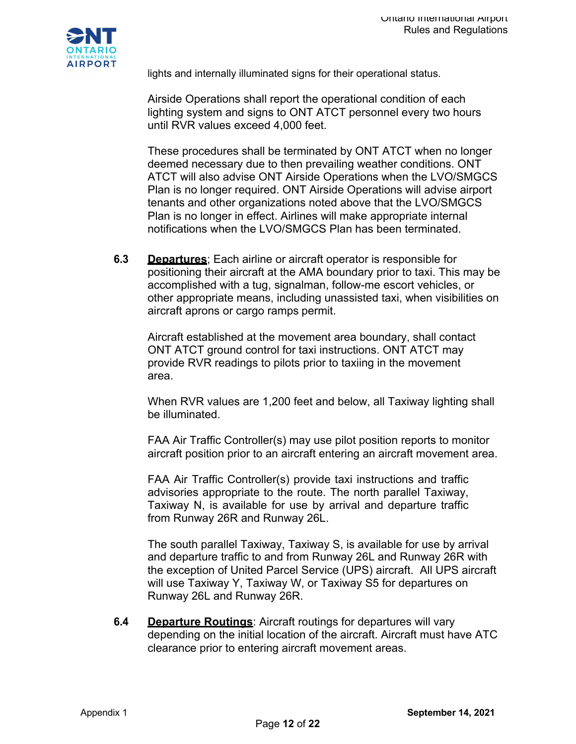

lights and internally illuminated signs for their operational status.

Airside Operations shall report the operational condition of each lighting system and signs to ONT ATCT personnel every two hours until RVR values exceed 4,000 feet.

These procedures shall be terminated by ONT ATCT when no longer deemed necessary due to then prevailing weather conditions. ONT ATCT will also advise ONT Airside Operations when the LVO/SMGCS Plan is no longer required. ONT Airside Operations will advise airport tenants and other organizations noted above that the LVO/SMGCS Plan is no longer in effect. Airlines will make appropriate internal notifications when the LVO/SMGCS Plan has been terminated.

**6.3 Departures**; Each airline or aircraft operator is responsible for positioning their aircraft at the AMA boundary prior to taxi. This may be accomplished with a tug, signalman, follow-me escort vehicles, or other appropriate means, including unassisted taxi, when visibilities on aircraft aprons or cargo ramps permit.

Aircraft established at the movement area boundary, shall contact ONT ATCT ground control for taxi instructions. ONT ATCT may provide RVR readings to pilots prior to taxiing in the movement area.

When RVR values are 1,200 feet and below, all Taxiway lighting shall be illuminated.

FAA Air Traffic Controller(s) may use pilot position reports to monitor aircraft position prior to an aircraft entering an aircraft movement area.

FAA Air Traffic Controller(s) provide taxi instructions and traffic advisories appropriate to the route. The north parallel Taxiway, Taxiway N, is available for use by arrival and departure traffic from Runway 26R and Runway 26L.

The south parallel Taxiway, Taxiway S, is available for use by arrival and departure traffic to and from Runway 26L and Runway 26R with the exception of United Parcel Service (UPS) aircraft. All UPS aircraft will use Taxiway Y, Taxiway W, or Taxiway S5 for departures on Runway 26L and Runway 26R.

**6.4 Departure Routings**: Aircraft routings for departures will vary depending on the initial location of the aircraft. Aircraft must have ATC clearance prior to entering aircraft movement areas.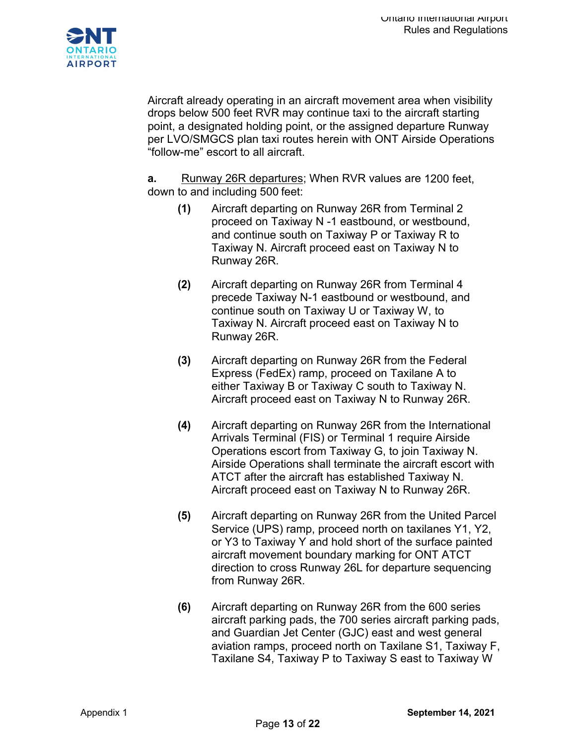

Aircraft already operating in an aircraft movement area when visibility drops below 500 feet RVR may continue taxi to the aircraft starting point, a designated holding point, or the assigned departure Runway per LVO/SMGCS plan taxi routes herein with ONT Airside Operations "follow-me" escort to all aircraft.

**a.** Runway 26R departures; When RVR values are 1200 feet, down to and including 500 feet:

- **(1)** Aircraft departing on Runway 26R from Terminal 2 proceed on Taxiway N -1 eastbound, or westbound, and continue south on Taxiway P or Taxiway R to Taxiway N. Aircraft proceed east on Taxiway N to Runway 26R.
- **(2)** Aircraft departing on Runway 26R from Terminal 4 precede Taxiway N-1 eastbound or westbound, and continue south on Taxiway U or Taxiway W, to Taxiway N. Aircraft proceed east on Taxiway N to Runway 26R.
- **(3)** Aircraft departing on Runway 26R from the Federal Express (FedEx) ramp, proceed on Taxilane A to either Taxiway B or Taxiway C south to Taxiway N. Aircraft proceed east on Taxiway N to Runway 26R.
- **(4)** Aircraft departing on Runway 26R from the International Arrivals Terminal (FIS) or Terminal 1 require Airside Operations escort from Taxiway G, to join Taxiway N. Airside Operations shall terminate the aircraft escort with ATCT after the aircraft has established Taxiway N. Aircraft proceed east on Taxiway N to Runway 26R.
- **(5)** Aircraft departing on Runway 26R from the United Parcel Service (UPS) ramp, proceed north on taxilanes Y1, Y2, or Y3 to Taxiway Y and hold short of the surface painted aircraft movement boundary marking for ONT ATCT direction to cross Runway 26L for departure sequencing from Runway 26R.
- **(6)** Aircraft departing on Runway 26R from the 600 series aircraft parking pads, the 700 series aircraft parking pads, and Guardian Jet Center (GJC) east and west general aviation ramps, proceed north on Taxilane S1, Taxiway F, Taxilane S4, Taxiway P to Taxiway S east to Taxiway W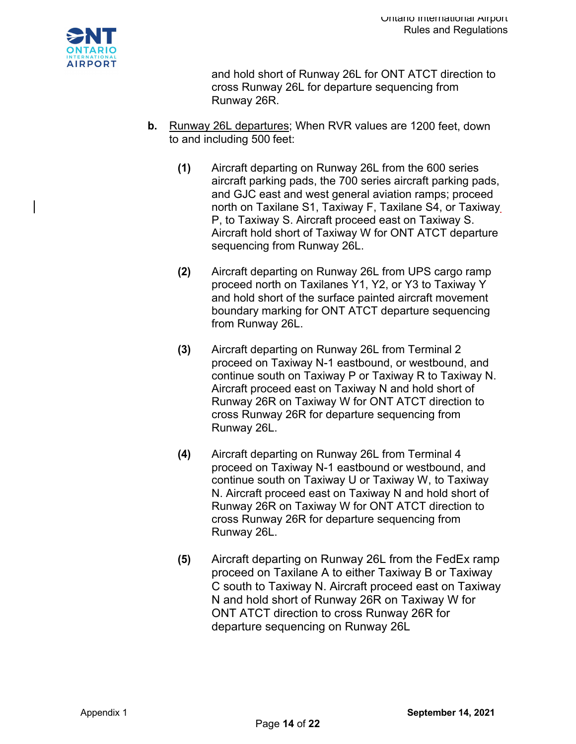

and hold short of Runway 26L for ONT ATCT direction to cross Runway 26L for departure sequencing from Runway 26R.

- **b.** Runway 26L departures; When RVR values are 1200 feet, down to and including 500 feet:
	- **(1)** Aircraft departing on Runway 26L from the 600 series aircraft parking pads, the 700 series aircraft parking pads, and GJC east and west general aviation ramps; proceed north on Taxilane S1, Taxiway F, Taxilane S4, or Taxiway P, to Taxiway S. Aircraft proceed east on Taxiway S. Aircraft hold short of Taxiway W for ONT ATCT departure sequencing from Runway 26L.
	- **(2)** Aircraft departing on Runway 26L from UPS cargo ramp proceed north on Taxilanes Y1, Y2, or Y3 to Taxiway Y and hold short of the surface painted aircraft movement boundary marking for ONT ATCT departure sequencing from Runway 26L.
	- **(3)** Aircraft departing on Runway 26L from Terminal 2 proceed on Taxiway N-1 eastbound, or westbound, and continue south on Taxiway P or Taxiway R to Taxiway N. Aircraft proceed east on Taxiway N and hold short of Runway 26R on Taxiway W for ONT ATCT direction to cross Runway 26R for departure sequencing from Runway 26L.
	- **(4)** Aircraft departing on Runway 26L from Terminal 4 proceed on Taxiway N-1 eastbound or westbound, and continue south on Taxiway U or Taxiway W, to Taxiway N. Aircraft proceed east on Taxiway N and hold short of Runway 26R on Taxiway W for ONT ATCT direction to cross Runway 26R for departure sequencing from Runway 26L.
	- **(5)** Aircraft departing on Runway 26L from the FedEx ramp proceed on Taxilane A to either Taxiway B or Taxiway C south to Taxiway N. Aircraft proceed east on Taxiway N and hold short of Runway 26R on Taxiway W for ONT ATCT direction to cross Runway 26R for departure sequencing on Runway 26L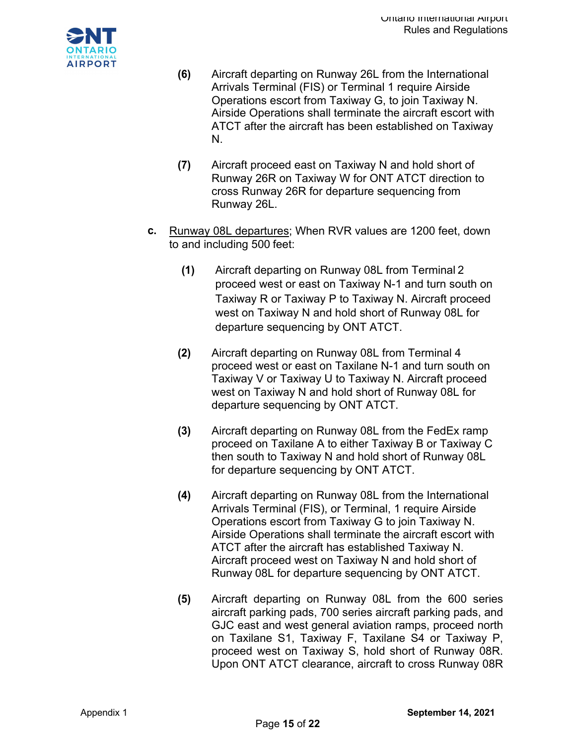

- **(6)** Aircraft departing on Runway 26L from the International Arrivals Terminal (FIS) or Terminal 1 require Airside Operations escort from Taxiway G, to join Taxiway N. Airside Operations shall terminate the aircraft escort with ATCT after the aircraft has been established on Taxiway N.
- **(7)** Aircraft proceed east on Taxiway N and hold short of Runway 26R on Taxiway W for ONT ATCT direction to cross Runway 26R for departure sequencing from Runway 26L.
- **c.** Runway 08L departures; When RVR values are 1200 feet, down to and including 500 feet:
	- **(1)** Aircraft departing on Runway 08L from Terminal 2 proceed west or east on Taxiway N-1 and turn south on Taxiway R or Taxiway P to Taxiway N. Aircraft proceed west on Taxiway N and hold short of Runway 08L for departure sequencing by ONT ATCT.
	- **(2)** Aircraft departing on Runway 08L from Terminal 4 proceed west or east on Taxilane N-1 and turn south on Taxiway V or Taxiway U to Taxiway N. Aircraft proceed west on Taxiway N and hold short of Runway 08L for departure sequencing by ONT ATCT.
	- **(3)** Aircraft departing on Runway 08L from the FedEx ramp proceed on Taxilane A to either Taxiway B or Taxiway C then south to Taxiway N and hold short of Runway 08L for departure sequencing by ONT ATCT.
	- **(4)** Aircraft departing on Runway 08L from the International Arrivals Terminal (FIS), or Terminal, 1 require Airside Operations escort from Taxiway G to join Taxiway N. Airside Operations shall terminate the aircraft escort with ATCT after the aircraft has established Taxiway N. Aircraft proceed west on Taxiway N and hold short of Runway 08L for departure sequencing by ONT ATCT.
	- **(5)** Aircraft departing on Runway 08L from the 600 series aircraft parking pads, 700 series aircraft parking pads, and GJC east and west general aviation ramps, proceed north on Taxilane S1, Taxiway F, Taxilane S4 or Taxiway P, proceed west on Taxiway S, hold short of Runway 08R. Upon ONT ATCT clearance, aircraft to cross Runway 08R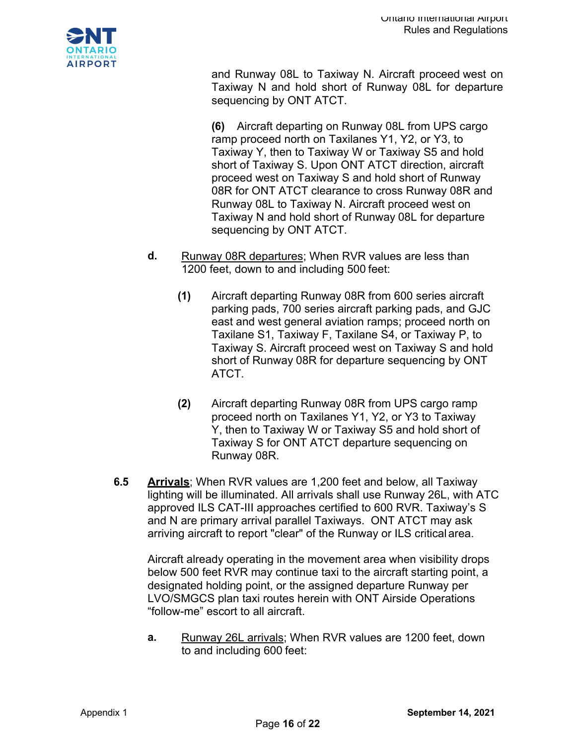

and Runway 08L to Taxiway N. Aircraft proceed west on Taxiway N and hold short of Runway 08L for departure sequencing by ONT ATCT.

**(6)** Aircraft departing on Runway 08L from UPS cargo ramp proceed north on Taxilanes Y1, Y2, or Y3, to Taxiway Y, then to Taxiway W or Taxiway S5 and hold short of Taxiway S. Upon ONT ATCT direction, aircraft proceed west on Taxiway S and hold short of Runway 08R for ONT ATCT clearance to cross Runway 08R and Runway 08L to Taxiway N. Aircraft proceed west on Taxiway N and hold short of Runway 08L for departure sequencing by ONT ATCT.

- **d.** Runway 08R departures; When RVR values are less than 1200 feet, down to and including 500 feet:
	- **(1)** Aircraft departing Runway 08R from 600 series aircraft parking pads, 700 series aircraft parking pads, and GJC east and west general aviation ramps; proceed north on Taxilane S1, Taxiway F, Taxilane S4, or Taxiway P, to Taxiway S. Aircraft proceed west on Taxiway S and hold short of Runway 08R for departure sequencing by ONT ATCT.
	- **(2)** Aircraft departing Runway 08R from UPS cargo ramp proceed north on Taxilanes Y1, Y2, or Y3 to Taxiway Y, then to Taxiway W or Taxiway S5 and hold short of Taxiway S for ONT ATCT departure sequencing on Runway 08R.
- **6.5 Arrivals**; When RVR values are 1,200 feet and below, all Taxiway lighting will be illuminated. All arrivals shall use Runway 26L, with ATC approved ILS CAT-III approaches certified to 600 RVR. Taxiway's S and N are primary arrival parallel Taxiways. ONT ATCT may ask arriving aircraft to report "clear" of the Runway or ILS critical area.

Aircraft already operating in the movement area when visibility drops below 500 feet RVR may continue taxi to the aircraft starting point, a designated holding point, or the assigned departure Runway per LVO/SMGCS plan taxi routes herein with ONT Airside Operations "follow-me" escort to all aircraft.

**a.** Runway 26L arrivals; When RVR values are 1200 feet, down to and including 600 feet: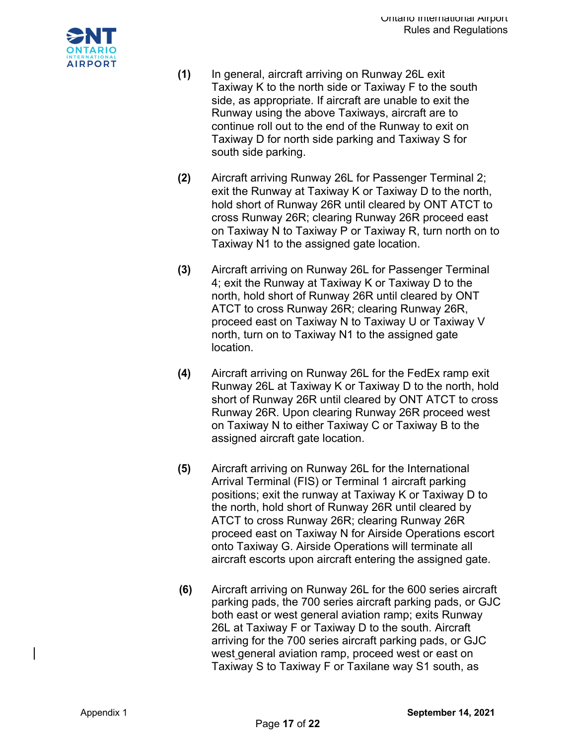

- **(1)** In general, aircraft arriving on Runway 26L exit Taxiway K to the north side or Taxiway F to the south side, as appropriate. If aircraft are unable to exit the Runway using the above Taxiways, aircraft are to continue roll out to the end of the Runway to exit on Taxiway D for north side parking and Taxiway S for south side parking.
- **(2)** Aircraft arriving Runway 26L for Passenger Terminal 2; exit the Runway at Taxiway K or Taxiway D to the north, hold short of Runway 26R until cleared by ONT ATCT to cross Runway 26R; clearing Runway 26R proceed east on Taxiway N to Taxiway P or Taxiway R, turn north on to Taxiway N1 to the assigned gate location.
- **(3)** Aircraft arriving on Runway 26L for Passenger Terminal 4; exit the Runway at Taxiway K or Taxiway D to the north, hold short of Runway 26R until cleared by ONT ATCT to cross Runway 26R; clearing Runway 26R, proceed east on Taxiway N to Taxiway U or Taxiway V north, turn on to Taxiway N1 to the assigned gate location.
- **(4)** Aircraft arriving on Runway 26L for the FedEx ramp exit Runway 26L at Taxiway K or Taxiway D to the north, hold short of Runway 26R until cleared by ONT ATCT to cross Runway 26R. Upon clearing Runway 26R proceed west on Taxiway N to either Taxiway C or Taxiway B to the assigned aircraft gate location.
- **(5)** Aircraft arriving on Runway 26L for the International Arrival Terminal (FIS) or Terminal 1 aircraft parking positions; exit the runway at Taxiway K or Taxiway D to the north, hold short of Runway 26R until cleared by ATCT to cross Runway 26R; clearing Runway 26R proceed east on Taxiway N for Airside Operations escort onto Taxiway G. Airside Operations will terminate all aircraft escorts upon aircraft entering the assigned gate.
- **(6)** Aircraft arriving on Runway 26L for the 600 series aircraft parking pads, the 700 series aircraft parking pads, or GJC both east or west general aviation ramp; exits Runway 26L at Taxiway F or Taxiway D to the south. Aircraft arriving for the 700 series aircraft parking pads, or GJC west general aviation ramp, proceed west or east on Taxiway S to Taxiway F or Taxilane way S1 south, as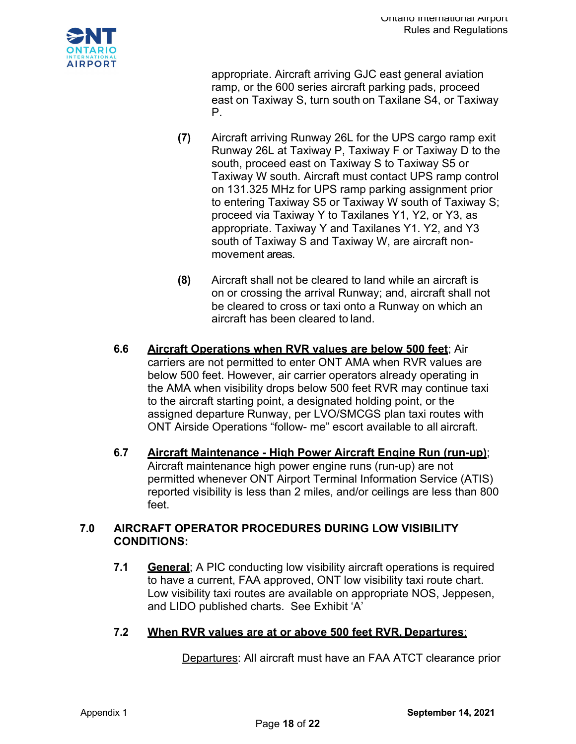

appropriate. Aircraft arriving GJC east general aviation ramp, or the 600 series aircraft parking pads, proceed east on Taxiway S, turn south on Taxilane S4, or Taxiway P.

- **(7)** Aircraft arriving Runway 26L for the UPS cargo ramp exit Runway 26L at Taxiway P, Taxiway F or Taxiway D to the south, proceed east on Taxiway S to Taxiway S5 or Taxiway W south. Aircraft must contact UPS ramp control on 131.325 MHz for UPS ramp parking assignment prior to entering Taxiway S5 or Taxiway W south of Taxiway S; proceed via Taxiway Y to Taxilanes Y1, Y2, or Y3, as appropriate. Taxiway Y and Taxilanes Y1. Y2, and Y3 south of Taxiway S and Taxiway W, are aircraft nonmovement areas.
- **(8)** Aircraft shall not be cleared to land while an aircraft is on or crossing the arrival Runway; and, aircraft shall not be cleared to cross or taxi onto a Runway on which an aircraft has been cleared to land.
- **6.6 Aircraft Operations when RVR values are below 500 feet**; Air carriers are not permitted to enter ONT AMA when RVR values are below 500 feet. However, air carrier operators already operating in the AMA when visibility drops below 500 feet RVR may continue taxi to the aircraft starting point, a designated holding point, or the assigned departure Runway, per LVO/SMCGS plan taxi routes with ONT Airside Operations "follow- me" escort available to all aircraft.
- **6.7 Aircraft Maintenance - High Power Aircraft Engine Run (run-up)**; Aircraft maintenance high power engine runs (run-up) are not permitted whenever ONT Airport Terminal Information Service (ATIS) reported visibility is less than 2 miles, and/or ceilings are less than 800 feet.

## **7.0 AIRCRAFT OPERATOR PROCEDURES DURING LOW VISIBILITY CONDITIONS:**

- **7.1 General**; A PIC conducting low visibility aircraft operations is required to have a current, FAA approved, ONT low visibility taxi route chart. Low visibility taxi routes are available on appropriate NOS, Jeppesen, and LIDO published charts. See Exhibit 'A'
- **7.2 When RVR values are at or above 500 feet RVR, Departures**;

Departures: All aircraft must have an FAA ATCT clearance prior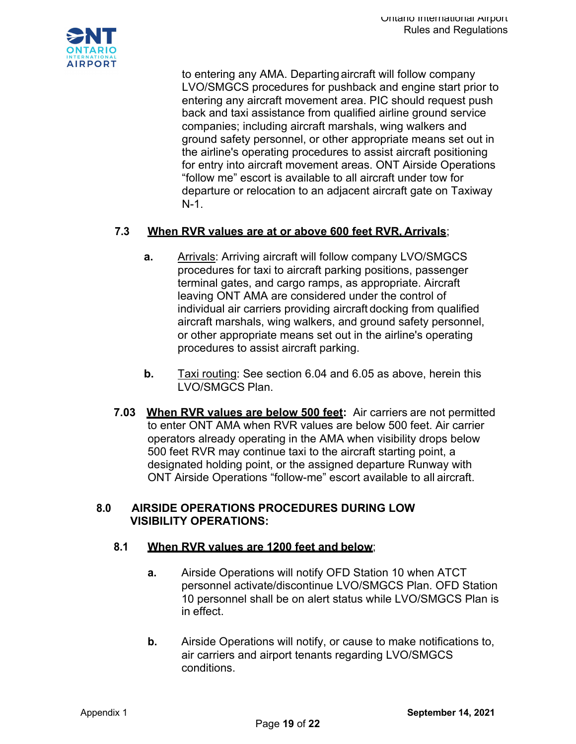

to entering any AMA. Departingaircraft will follow company LVO/SMGCS procedures for pushback and engine start prior to entering any aircraft movement area. PIC should request push back and taxi assistance from qualified airline ground service companies; including aircraft marshals, wing walkers and ground safety personnel, or other appropriate means set out in the airline's operating procedures to assist aircraft positioning for entry into aircraft movement areas. ONT Airside Operations "follow me" escort is available to all aircraft under tow for departure or relocation to an adjacent aircraft gate on Taxiway N-1.

### **7.3 When RVR values are at or above 600 feet RVR, Arrivals**;

- **a.** Arrivals: Arriving aircraft will follow company LVO/SMGCS procedures for taxi to aircraft parking positions, passenger terminal gates, and cargo ramps, as appropriate. Aircraft leaving ONT AMA are considered under the control of individual air carriers providing aircraft docking from qualified aircraft marshals, wing walkers, and ground safety personnel, or other appropriate means set out in the airline's operating procedures to assist aircraft parking.
- **b.** Taxi routing: See section 6.04 and 6.05 as above, herein this LVO/SMGCS Plan.
- **7.03 When RVR values are below 500 feet:** Air carriers are not permitted to enter ONT AMA when RVR values are below 500 feet. Air carrier operators already operating in the AMA when visibility drops below 500 feet RVR may continue taxi to the aircraft starting point, a designated holding point, or the assigned departure Runway with ONT Airside Operations "follow-me" escort available to all aircraft.

#### **8.0 AIRSIDE OPERATIONS PROCEDURES DURING LOW VISIBILITY OPERATIONS:**

#### **8.1 When RVR values are 1200 feet and below**;

- **a.** Airside Operations will notify OFD Station 10 when ATCT personnel activate/discontinue LVO/SMGCS Plan. OFD Station 10 personnel shall be on alert status while LVO/SMGCS Plan is in effect.
- **b.** Airside Operations will notify, or cause to make notifications to, air carriers and airport tenants regarding LVO/SMGCS conditions.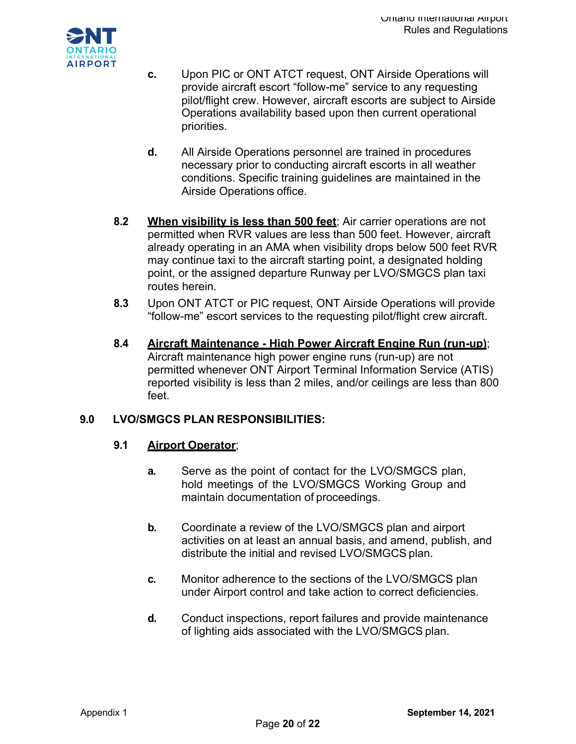

- **c.** Upon PIC or ONT ATCT request, ONT Airside Operations will provide aircraft escort "follow-me" service to any requesting pilot/flight crew. However, aircraft escorts are subject to Airside Operations availability based upon then current operational priorities.
- **d.** All Airside Operations personnel are trained in procedures necessary prior to conducting aircraft escorts in all weather conditions. Specific training guidelines are maintained in the Airside Operations office.
- **8.2 When visibility is less than 500 feet**; Air carrier operations are not permitted when RVR values are less than 500 feet. However, aircraft already operating in an AMA when visibility drops below 500 feet RVR may continue taxi to the aircraft starting point, a designated holding point, or the assigned departure Runway per LVO/SMGCS plan taxi routes herein.
- **8.3** Upon ONT ATCT or PIC request, ONT Airside Operations will provide "follow-me" escort services to the requesting pilot/flight crew aircraft.
- **8.4 Aircraft Maintenance - High Power Aircraft Engine Run (run-up)**; Aircraft maintenance high power engine runs (run-up) are not permitted whenever ONT Airport Terminal Information Service (ATIS) reported visibility is less than 2 miles, and/or ceilings are less than 800 feet.

## **9.0 LVO/SMGCS PLAN RESPONSIBILITIES:**

## **9.1 Airport Operator**;

- **a.** Serve as the point of contact for the LVO/SMGCS plan, hold meetings of the LVO/SMGCS Working Group and maintain documentation of proceedings.
- **b.** Coordinate a review of the LVO/SMGCS plan and airport activities on at least an annual basis, and amend, publish, and distribute the initial and revised LVO/SMGCS plan.
- **c.** Monitor adherence to the sections of the LVO/SMGCS plan under Airport control and take action to correct deficiencies.
- **d.** Conduct inspections, report failures and provide maintenance of lighting aids associated with the LVO/SMGCS plan.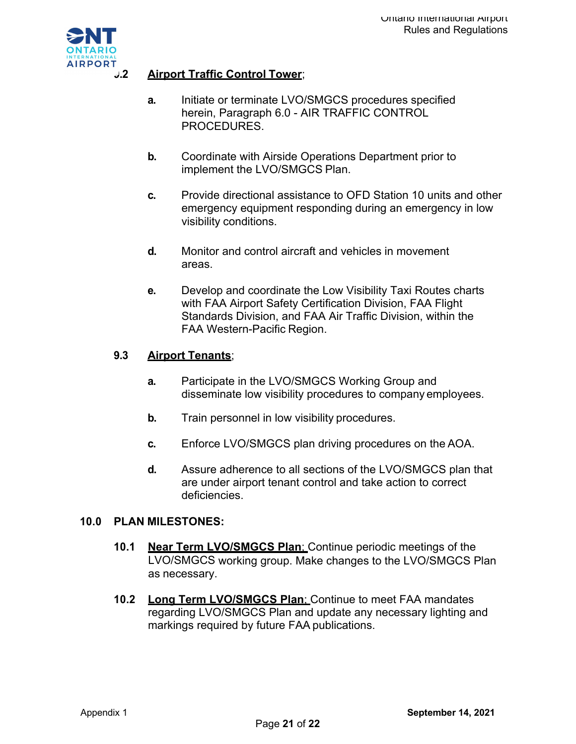

## **9.2 Airport Traffic Control Tower**;

- **a.** Initiate or terminate LVO/SMGCS procedures specified herein, Paragraph 6.0 - AIR TRAFFIC CONTROL PROCEDURES.
- **b.** Coordinate with Airside Operations Department prior to implement the LVO/SMGCS Plan.
- **c.** Provide directional assistance to OFD Station 10 units and other emergency equipment responding during an emergency in low visibility conditions.
- **d.** Monitor and control aircraft and vehicles in movement areas.
- **e.** Develop and coordinate the Low Visibility Taxi Routes charts with FAA Airport Safety Certification Division, FAA Flight Standards Division, and FAA Air Traffic Division, within the FAA Western-Pacific Region.

### **9.3 Airport Tenants**;

- **a.** Participate in the LVO/SMGCS Working Group and disseminate low visibility procedures to company employees.
- **b.** Train personnel in low visibility procedures.
- **c.** Enforce LVO/SMGCS plan driving procedures on the AOA.
- **d.** Assure adherence to all sections of the LVO/SMGCS plan that are under airport tenant control and take action to correct deficiencies.

#### **10.0 PLAN MILESTONES:**

- **10.1 Near Term LVO/SMGCS Plan**; Continue periodic meetings of the LVO/SMGCS working group. Make changes to the LVO/SMGCS Plan as necessary.
- **10.2 Long Term LVO/SMGCS Plan**; Continue to meet FAA mandates regarding LVO/SMGCS Plan and update any necessary lighting and markings required by future FAA publications.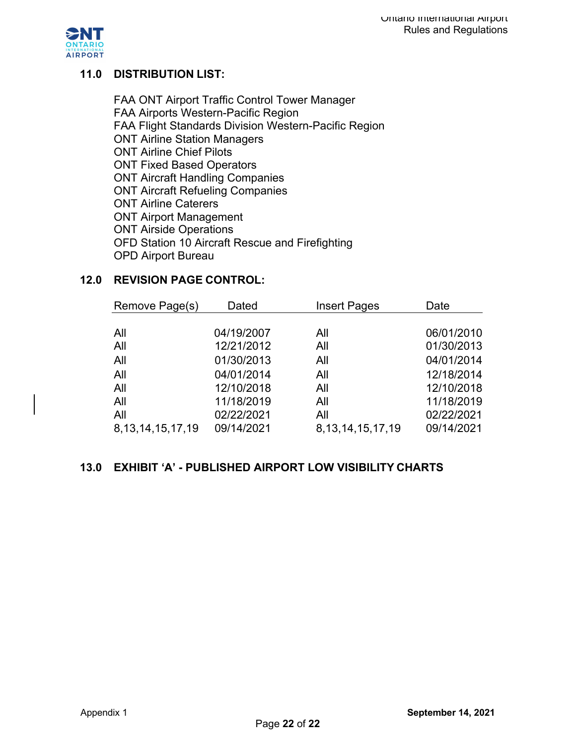

# **11.0 DISTRIBUTION LIST:**

FAA ONT Airport Traffic Control Tower Manager FAA Airports Western-Pacific Region FAA Flight Standards Division Western-Pacific Region ONT Airline Station Managers ONT Airline Chief Pilots ONT Fixed Based Operators ONT Aircraft Handling Companies ONT Aircraft Refueling Companies ONT Airline Caterers ONT Airport Management ONT Airside Operations OFD Station 10 Aircraft Rescue and Firefighting OPD Airport Bureau

## **12.0 REVISION PAGE CONTROL:**

| Remove Page(s)        | Dated      | <b>Insert Pages</b>   | Date       |
|-----------------------|------------|-----------------------|------------|
|                       |            |                       |            |
| All                   | 04/19/2007 | All                   | 06/01/2010 |
| All                   | 12/21/2012 | All                   | 01/30/2013 |
| All                   | 01/30/2013 | All                   | 04/01/2014 |
| All                   | 04/01/2014 | All                   | 12/18/2014 |
| All                   | 12/10/2018 | All                   | 12/10/2018 |
| All                   | 11/18/2019 | All                   | 11/18/2019 |
| All                   | 02/22/2021 | All                   | 02/22/2021 |
| 8, 13, 14, 15, 17, 19 | 09/14/2021 | 8, 13, 14, 15, 17, 19 | 09/14/2021 |

## **13.0 EXHIBIT 'A' - PUBLISHED AIRPORT LOW VISIBILITY CHARTS**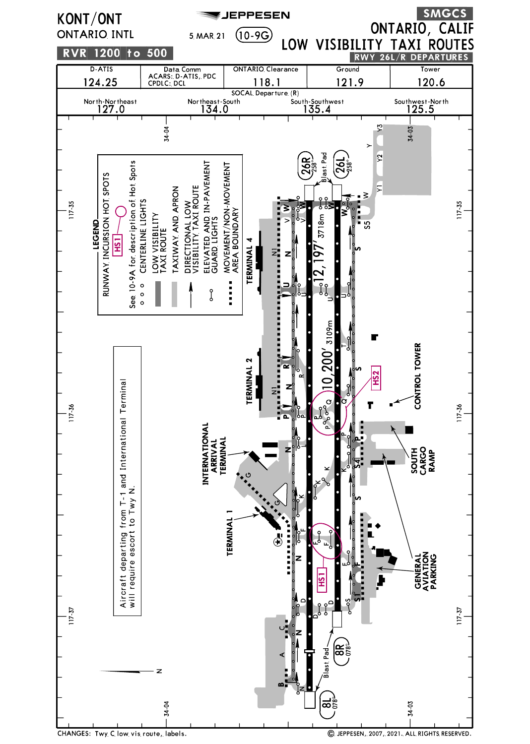

CHANGES: Twy C low vis route, labels.

C JEPPESEN, 2007, 2021. ALL RIGHTS RESERVED.